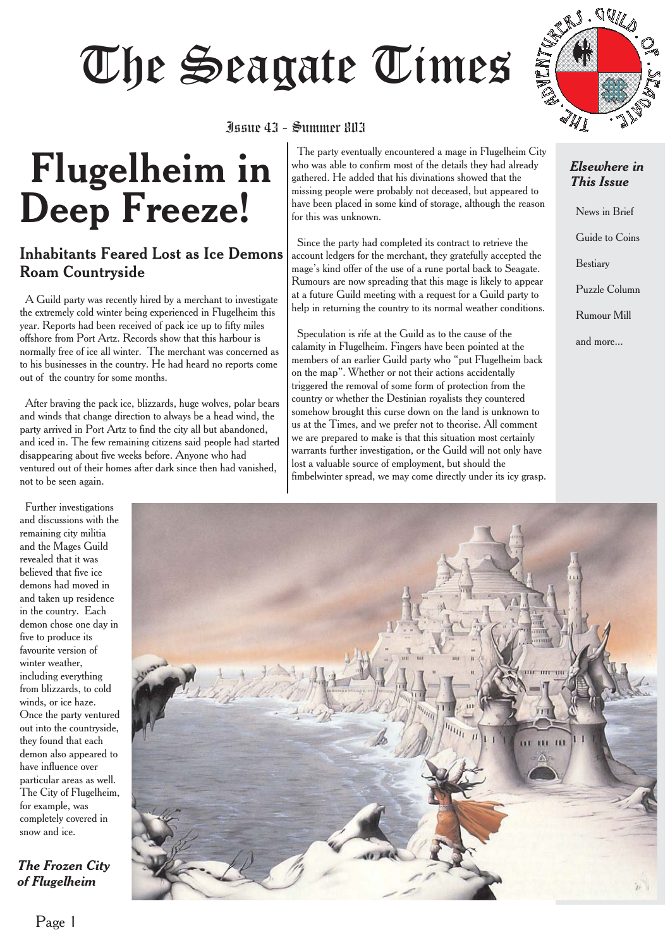# June 43 - Summer 803



## Issue 43 - Summer 803

# **Flugelheim in Deep Freeze!**

## Inhabitants Feared Lost as Ice Demons Roam Countryside

A Guild party was recently hired by a merchant to investigate the extremely cold winter being experienced in Flugelheim this year. Reports had been received of pack ice up to fifty miles offshore from Port Artz. Records show that this harbour is normally free of ice all winter. The merchant was concerned as to his businesses in the country. He had heard no reports come out of the country for some months.

After braving the pack ice, blizzards, huge wolves, polar bears and winds that change direction to always be a head wind, the party arrived in Port Artz to find the city all but abandoned, and iced in. The few remaining citizens said people had started disappearing about five weeks before. Anyone who had ventured out of their homes after dark since then had vanished, not to be seen again.

The party eventually encountered a mage in Flugelheim City who was able to confirm most of the details they had already gathered. He added that his divinations showed that the missing people were probably not deceased, but appeared to have been placed in some kind of storage, although the reason for this was unknown.

Since the party had completed its contract to retrieve the account ledgers for the merchant, they gratefully accepted the mage's kind offer of the use of a rune portal back to Seagate. Rumours are now spreading that this mage is likely to appear at a future Guild meeting with a request for a Guild party to help in returning the country to its normal weather conditions.

Speculation is rife at the Guild as to the cause of the calamity in Flugelheim. Fingers have been pointed at the members of an earlier Guild party who "put Flugelheim back on the map". Whether or not their actions accidentally triggered the removal of some form of protection from the country or whether the Destinian royalists they countered somehow brought this curse down on the land is unknown to us at the Times, and we prefer not to theorise. All comment we are prepared to make is that this situation most certainly warrants further investigation, or the Guild will not only have lost a valuable source of employment, but should the fimbelwinter spread, we may come directly under its icy grasp.

#### *Elsewhere in This Issue*

News in Brief Guide to Coins Bestiary Puzzle Column Rumour Mill and more...

Further investigations and discussions with the remaining city militia and the Mages Guild revealed that it was believed that five ice demons had moved in and taken up residence in the country. Each demon chose one day in five to produce its favourite version of winter weather, including everything from blizzards, to cold winds, or ice haze. Once the party ventured out into the countryside, they found that each demon also appeared to have influence over particular areas as well. The City of Flugelheim, for example, was completely covered in snow and ice.

### *The Frozen City of Flugelheim*

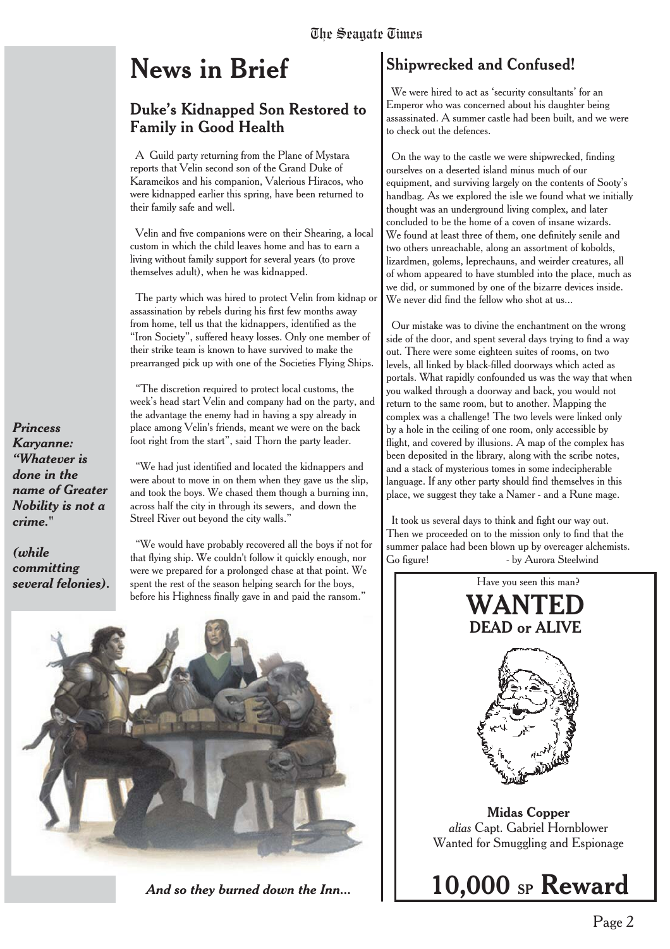# **News in Brief**

## Duke's Kidnapped Son Restored to Family in Good Health

A Guild party returning from the Plane of Mystara reports that Velin second son of the Grand Duke of Karameikos and his companion, Valerious Hiracos, who were kidnapped earlier this spring, have been returned to their family safe and well.

Velin and five companions were on their Shearing, a local custom in which the child leaves home and has to earn a living without family support for several years (to prove themselves adult), when he was kidnapped.

The party which was hired to protect Velin from kidnap or assassination by rebels during his first few months away from home, tell us that the kidnappers, identified as the "Iron Society", suffered heavy losses. Only one member of their strike team is known to have survived to make the prearranged pick up with one of the Societies Flying Ships.

"The discretion required to protect local customs, the week's head start Velin and company had on the party, and the advantage the enemy had in having a spy already in place among Velin's friends, meant we were on the back foot right from the start", said Thorn the party leader.

"We had just identified and located the kidnappers and were about to move in on them when they gave us the slip, and took the boys. We chased them though a burning inn, across half the city in through its sewers, and down the Streel River out beyond the city walls."

"We would have probably recovered all the boys if not for that flying ship. We couldn't follow it quickly enough, nor were we prepared for a prolonged chase at that point. We **several felonies).** spent the rest of the season helping search for the boys, Have you seen this man? before his Highness finally gave in and paid the ransom."



## Shipwrecked and Confused!

We were hired to act as 'security consultants' for an Emperor who was concerned about his daughter being assassinated. A summer castle had been built, and we were to check out the defences.

On the way to the castle we were shipwrecked, finding ourselves on a deserted island minus much of our equipment, and surviving largely on the contents of Sooty's handbag. As we explored the isle we found what we initially thought was an underground living complex, and later concluded to be the home of a coven of insane wizards. We found at least three of them, one definitely senile and two others unreachable, along an assortment of kobolds, lizardmen, golems, leprechauns, and weirder creatures, all of whom appeared to have stumbled into the place, much as we did, or summoned by one of the bizarre devices inside. We never did find the fellow who shot at us...

Our mistake was to divine the enchantment on the wrong side of the door, and spent several days trying to find a way out. There were some eighteen suites of rooms, on two levels, all linked by black-filled doorways which acted as portals. What rapidly confounded us was the way that when you walked through a doorway and back, you would not return to the same room, but to another. Mapping the complex was a challenge! The two levels were linked only by a hole in the ceiling of one room, only accessible by flight, and covered by illusions. A map of the complex has been deposited in the library, along with the scribe notes, and a stack of mysterious tomes in some indecipherable language. If any other party should find themselves in this place, we suggest they take a Namer - and a Rune mage.

It took us several days to think and fight our way out. Then we proceeded on to the mission only to find that the summer palace had been blown up by overeager alchemists. Go figure! - by Aurora Steelwind



*Princess Karyanne: "Whatever is done in the name of Greater Nobility is not a crime."*

*(while committing*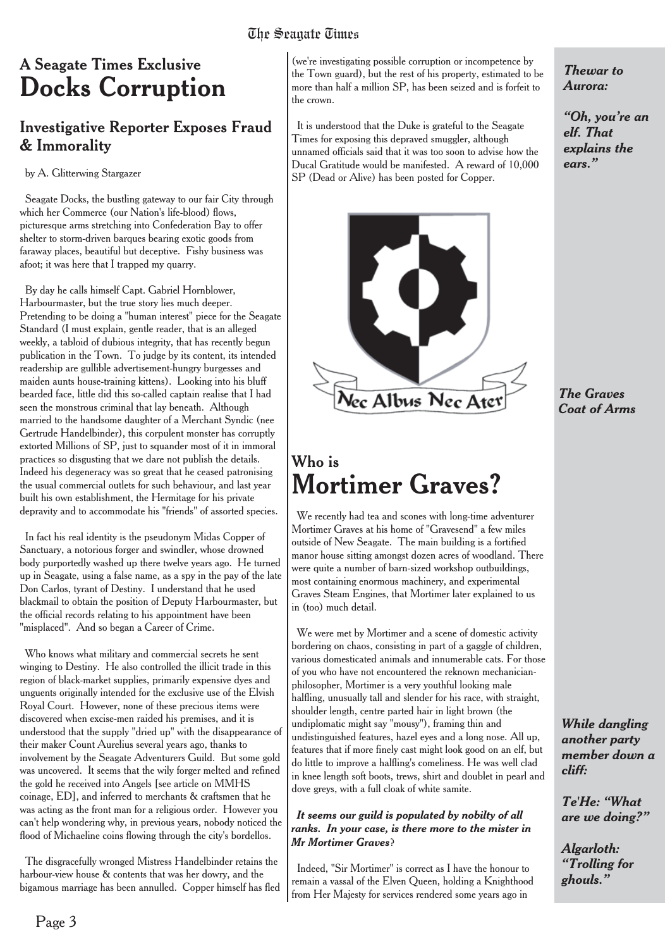# The Seagate Times

## A Seagate Times Exclusive **Docks Corruption**

## Investigative Reporter Exposes Fraud & Immorality

#### by A. Glitterwing Stargazer

Seagate Docks, the bustling gateway to our fair City through which her Commerce (our Nation's life-blood) flows, picturesque arms stretching into Confederation Bay to offer shelter to storm-driven barques bearing exotic goods from faraway places, beautiful but deceptive. Fishy business was afoot; it was here that I trapped my quarry.

By day he calls himself Capt. Gabriel Hornblower, Harbourmaster, but the true story lies much deeper. Pretending to be doing a "human interest" piece for the Seagate Standard (I must explain, gentle reader, that is an alleged weekly, a tabloid of dubious integrity, that has recently begun publication in the Town. To judge by its content, its intended readership are gullible advertisement-hungry burgesses and maiden aunts house-training kittens). Looking into his bluff bearded face, little did this so-called captain realise that I had seen the monstrous criminal that lay beneath. Although married to the handsome daughter of a Merchant Syndic (nee Gertrude Handelbinder), this corpulent monster has corruptly extorted Millions of SP, just to squander most of it in immoral practices so disgusting that we dare not publish the details. Indeed his degeneracy was so great that he ceased patronising the usual commercial outlets for such behaviour, and last year built his own establishment, the Hermitage for his private depravity and to accommodate his "friends" of assorted species.

In fact his real identity is the pseudonym Midas Copper of Sanctuary, a notorious forger and swindler, whose drowned body purportedly washed up there twelve years ago. He turned up in Seagate, using a false name, as a spy in the pay of the late Don Carlos, tyrant of Destiny. I understand that he used blackmail to obtain the position of Deputy Harbourmaster, but the official records relating to his appointment have been "misplaced". And so began a Career of Crime.

Who knows what military and commercial secrets he sent winging to Destiny. He also controlled the illicit trade in this region of black-market supplies, primarily expensive dyes and unguents originally intended for the exclusive use of the Elvish Royal Court. However, none of these precious items were discovered when excise-men raided his premises, and it is understood that the supply "dried up" with the disappearance of their maker Count Aurelius several years ago, thanks to involvement by the Seagate Adventurers Guild. But some gold was uncovered. It seems that the wily forger melted and refined the gold he received into Angels [see article on MMHS coinage, ED], and inferred to merchants & craftsmen that he was acting as the front man for a religious order. However you can't help wondering why, in previous years, nobody noticed the flood of Michaeline coins flowing through the city's bordellos.

The disgracefully wronged Mistress Handelbinder retains the harbour-view house & contents that was her dowry, and the bigamous marriage has been annulled. Copper himself has fled

(we're investigating possible corruption or incompetence by the Town guard), but the rest of his property, estimated to be more than half a million SP, has been seized and is forfeit to the crown.

It is understood that the Duke is grateful to the Seagate Times for exposing this depraved smuggler, although unnamed officials said that it was too soon to advise how the Ducal Gratitude would be manifested. A reward of 10,000 SP (Dead or Alive) has been posted for Copper.



## Who is **Mortimer Graves?**

We recently had tea and scones with long-time adventurer Mortimer Graves at his home of "Gravesend" a few miles outside of New Seagate. The main building is a fortified manor house sitting amongst dozen acres of woodland. There were quite a number of barn-sized workshop outbuildings, most containing enormous machinery, and experimental Graves Steam Engines, that Mortimer later explained to us in (too) much detail.

We were met by Mortimer and a scene of domestic activity bordering on chaos, consisting in part of a gaggle of children, various domesticated animals and innumerable cats. For those of you who have not encountered the reknown mechanicianphilosopher, Mortimer is a very youthful looking male halfling, unusually tall and slender for his race, with straight, shoulder length, centre parted hair in light brown (the undiplomatic might say "mousy"), framing thin and undistinguished features, hazel eyes and a long nose. All up, features that if more finely cast might look good on an elf, but do little to improve a halfling's comeliness. He was well clad in knee length soft boots, trews, shirt and doublet in pearl and dove greys, with a full cloak of white samite.

#### *It seems our guild is populated by nobilty of all ranks. In your case, is there more to the mister in Mr Mortimer Graves*?

Indeed, "Sir Mortimer" is correct as I have the honour to remain a vassal of the Elven Queen, holding a Knighthood from Her Majesty for services rendered some years ago in

*Thewar to Aurora:*

*"Oh, you're an elf. That explains the ears."*

*The Graves Coat of Arms*

*While dangling another party member down a cliff:*

*Te'He: "What are we doing?"*

*Algarloth: "Trolling for ghouls."*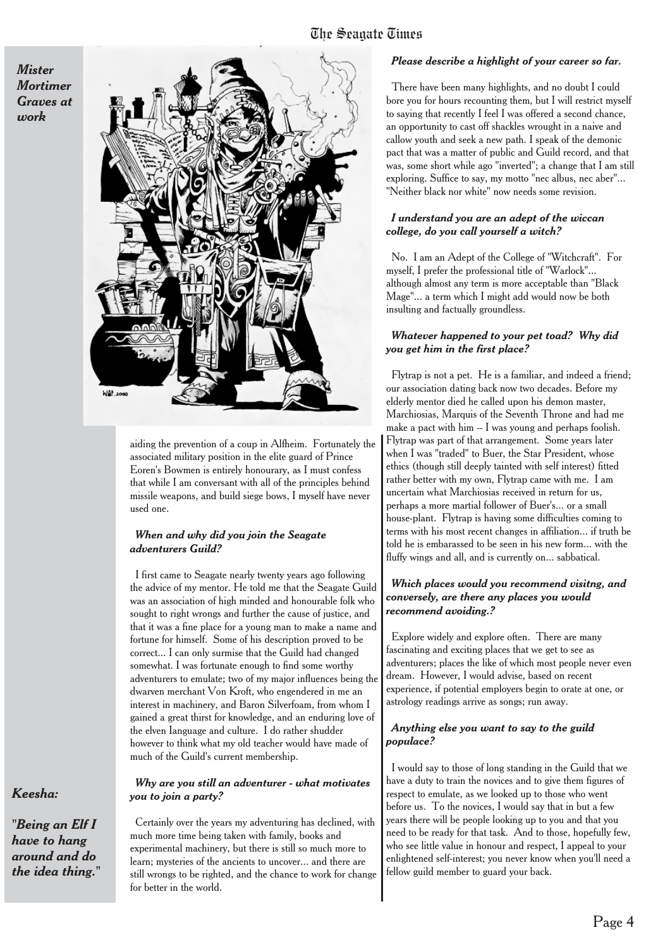*Mister Mortimer Graves at work*



aiding the prevention of a coup in Alfheim. Fortunately the associated military position in the elite guard of Prince Eoren's Bowmen is entirely honourary, as I must confess that while I am conversant with all of the principles behind missile weapons, and build siege bows, I myself have never used one.

#### *When and why did you join the Seagate adventurers Guild?*

I first came to Seagate nearly twenty years ago following the advice of my mentor. He told me that the Seagate Guild was an association of high minded and honourable folk who sought to right wrongs and further the cause of justice, and that it was a fine place for a young man to make a name and fortune for himself. Some of his description proved to be correct... I can only surmise that the Guild had changed somewhat. I was fortunate enough to find some worthy adventurers to emulate; two of my major influences being the dwarven merchant Von Kroft, who engendered in me an interest in machinery, and Baron Silverfoam, from whom I gained a great thirst for knowledge, and an enduring love of the elven Ianguage and culture. I do rather shudder however to think what my old teacher would have made of much of the Guild's current membership.

*Why are you still an adventurer - what motivates you to join a party?*

Certainly over the years my adventuring has declined, with much more time being taken with family, books and experimental machinery, but there is still so much more to learn; mysteries of the ancients to uncover... and there are still wrongs to be righted, and the chance to work for change for better in the world.

#### *Please describe a highlight of your career so far.*

There have been many highlights, and no doubt I could bore you for hours recounting them, but I will restrict myself to saying that recently I feel I was offered a second chance, an opportunity to cast off shackles wrought in a naive and callow youth and seek a new path. I speak of the demonic pact that was a matter of public and Guild record, and that was, some short while ago "inverted"; a change that I am still exploring. Suffice to say, my motto "nec albus, nec aber"... "Neither black nor white" now needs some revision.

#### *I understand you are an adept of the wiccan college, do you call yourself a witch?*

No. I am an Adept of the College of "Witchcraft". For myself, I prefer the professional title of "Warlock"... although almost any term is more acceptable than "Black Mage"... a term which I might add would now be both insulting and factually groundless.

#### *Whatever happened to your pet toad? Why did you get him in the first place?*

Flytrap is not a pet. He is a familiar, and indeed a friend; our association dating back now two decades. Before my elderly mentor died he called upon his demon master, Marchiosias, Marquis of the Seventh Throne and had me make a pact with him -- I was young and perhaps foolish. Flytrap was part of that arrangement. Some years later when I was "traded" to Buer, the Star President, whose ethics (though still deeply tainted with self interest) fitted rather better with my own, Flytrap came with me. I am uncertain what Marchiosias received in return for us, perhaps a more martial follower of Buer's... or a small house-plant. Flytrap is having some difficulties coming to terms with his most recent changes in affiliation... if truth be told he is embarassed to be seen in his new form... with the fluffy wings and all, and is currently on... sabbatical.

#### *Which places would you recommend visitng, and conversely, are there any places you would recommend avoiding.?*

Explore widely and explore often. There are many fascinating and exciting places that we get to see as adventurers; places the like of which most people never even dream. However, I would advise, based on recent experience, if potential employers begin to orate at one, or astrology readings arrive as songs; run away.

#### *Anything else you want to say to the guild populace?*

I would say to those of long standing in the Guild that we have a duty to train the novices and to give them figures of respect to emulate, as we looked up to those who went before us. To the novices, I would say that in but a few years there will be people looking up to you and that you need to be ready for that task. And to those, hopefully few, who see little value in honour and respect, I appeal to your enlightened self-interest; you never know when you'll need a fellow guild member to guard your back.

#### *Keesha:*

*"Being an Elf I have to hang around and do the idea thing."*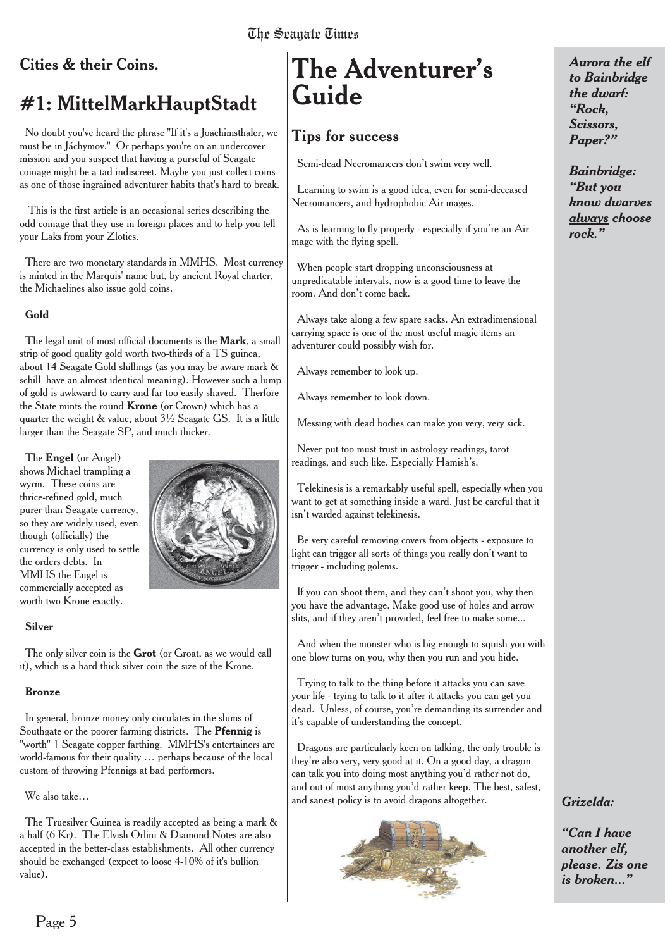## Cities & their Coins.

## #1: MittelMarkHauptStadt

No doubt you've heard the phrase "If it's a Joachimsthaler, we must be in Jáchymov." Or perhaps you're on an undercover mission and you suspect that having a purseful of Seagate coinage might be a tad indiscreet. Maybe you just collect coins as one of those ingrained adventurer habits that's hard to break.

This is the first article is an occasional series describing the odd coinage that they use in foreign places and to help you tell your Laks from your Zloties.

There are two monetary standards in MMHS. Most currency is minted in the Marquis' name but, by ancient Royal charter, the Michaelines also issue gold coins.

#### **Gold**

The legal unit of most official documents is the **Mark**, a small strip of good quality gold worth two-thirds of a TS guinea, about 14 Seagate Gold shillings (as you may be aware mark & schill have an almost identical meaning). However such a lump of gold is awkward to carry and far too easily shaved. Therfore the State mints the round **Krone** (or Crown) which has a quarter the weight & value, about 3½ Seagate GS. It is a little larger than the Seagate SP, and much thicker.

The **Engel** (or Angel) shows Michael trampling a wyrm. These coins are thrice-refined gold, much purer than Seagate currency, so they are widely used, even though (officially) the currency is only used to settle the orders debts. In MMHS the Engel is commercially accepted as worth two Krone exactly.



#### **Silver**

The only silver coin is the **Grot** (or Groat, as we would call it), which is a hard thick silver coin the size of the Krone.

#### **Bronze**

In general, bronze money only circulates in the slums of Southgate or the poorer farming districts. The **Pfennig** is "worth" 1 Seagate copper farthing. MMHS's entertainers are world-famous for their quality … perhaps because of the local custom of throwing Pfennigs at bad performers.

#### We also take…

The Truesilver Guinea is readily accepted as being a mark & a half (6 Kr). The Elvish Orlini & Diamond Notes are also accepted in the better-class establishments. All other currency should be exchanged (expect to loose 4-10% of it's bullion value).

# **The Adventurer's Guide**

## **Tips for success**

Semi-dead Necromancers don't swim very well.

Learning to swim is a good idea, even for semi-deceased Necromancers, and hydrophobic Air mages.

As is learning to fly properly - especially if you're an Air mage with the flying spell.

When people start dropping unconsciousness at unpredicatable intervals, now is a good time to leave the room. And don't come back.

Always take along a few spare sacks. An extradimensional carrying space is one of the most useful magic items an adventurer could possibly wish for.

Always remember to look up.

Always remember to look down.

Messing with dead bodies can make you very, very sick.

Never put too must trust in astrology readings, tarot readings, and such like. Especially Hamish's.

Telekinesis is a remarkably useful spell, especially when you want to get at something inside a ward. Just be careful that it isn't warded against telekinesis.

Be very careful removing covers from objects - exposure to light can trigger all sorts of things you really don't want to trigger - including golems.

If you can shoot them, and they can't shoot you, why then you have the advantage. Make good use of holes and arrow slits, and if they aren't provided, feel free to make some...

And when the monster who is big enough to squish you with one blow turns on you, why then you run and you hide.

Trying to talk to the thing before it attacks you can save your life - trying to talk to it after it attacks you can get you dead. Unless, of course, you're demanding its surrender and it's capable of understanding the concept.

Dragons are particularly keen on talking, the only trouble is they're also very, very good at it. On a good day, a dragon can talk you into doing most anything you'd rather not do, and out of most anything you'd rather keep. The best, safest, and sanest policy is to avoid dragons altogether.



*Aurora the elf to Bainbridge the dwarf: "Rock, Scissors, Paper?"*

*Bainbridge: "But you know dwarves always choose rock."*

## *Grizelda:*

*"Can I have another elf, please. Zis one is broken..."*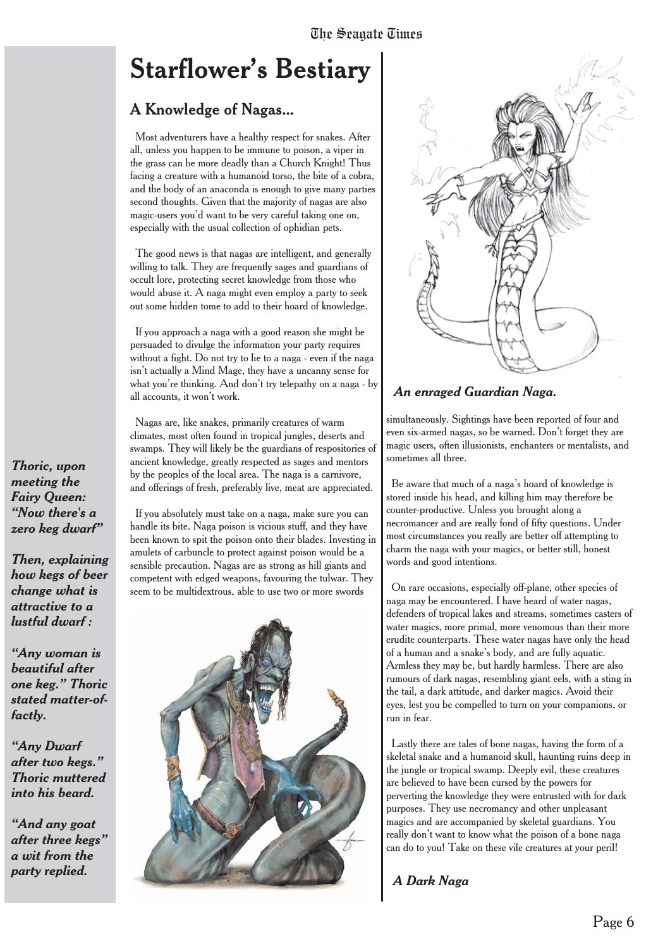# **Starflower's Bestiary**

## A Knowledge of Nagas...

Most adventurers have a healthy respect for snakes. After all, unless you happen to be immune to poison, a viper in the grass can be more deadly than a Church Knight! Thus facing a creature with a humanoid torso, the bite of a cobra, and the body of an anaconda is enough to give many parties second thoughts. Given that the majority of nagas are also magic-users you'd want to be very careful taking one on, especially with the usual collection of ophidian pets.

The good news is that nagas are intelligent, and generally willing to talk. They are frequently sages and guardians of occult lore, protecting secret knowledge from those who would abuse it. A naga might even employ a party to seek out some hidden tome to add to their hoard of knowledge.

If you approach a naga with a good reason she might be persuaded to divulge the information your party requires without a fight. Do not try to lie to a naga - even if the naga isn't actually a Mind Mage, they have a uncanny sense for what you're thinking. And don't try telepathy on a naga - by all accounts, it won't work.

Nagas are, like snakes, primarily creatures of warm climates, most often found in tropical jungles, deserts and swamps. They will likely be the guardians of respositories of ancient knowledge, greatly respected as sages and mentors by the peoples of the local area. The naga is a carnivore, and offerings of fresh, preferably live, meat are appreciated.

If you absolutely must take on a naga, make sure you can handle its bite. Naga poison is vicious stuff, and they have been known to spit the poison onto their blades. Investing in amulets of carbuncle to protect against poison would be a sensible precaution. Nagas are as strong as hill giants and competent with edged weapons, favouring the tulwar. They seem to be multidextrous, able to use two or more swords





#### *An enraged Guardian Naga.*

simultaneously. Sightings have been reported of four and even six-armed nagas, so be warned. Don't forget they are magic users, often illusionists, enchanters or mentalists, and sometimes all three.

Be aware that much of a naga's hoard of knowledge is stored inside his head, and killing him may therefore be counter-productive. Unless you brought along a necromancer and are really fond of fifty questions. Under most circumstances you really are better off attempting to charm the naga with your magics, or better still, honest words and good intentions.

On rare occasions, especially off-plane, other species of naga may be encountered. I have heard of water nagas, defenders of tropical lakes and streams, sometimes casters of water magics, more primal, more venomous than their more erudite counterparts. These water nagas have only the head of a human and a snake's body, and are fully aquatic. Armless they may be, but hardly harmless. There are also rumours of dark nagas, resembling giant eels, with a sting in the tail, a dark attitude, and darker magics. Avoid their eyes, lest you be compelled to turn on your companions, or run in fear.

Lastly there are tales of bone nagas, having the form of a skeletal snake and a humanoid skull, haunting ruins deep in the jungle or tropical swamp. Deeply evil, these creatures are believed to have been cursed by the powers for perverting the knowledge they were entrusted with for dark purposes. They use necromancy and other unpleasant magics and are accompanied by skeletal guardians. You really don't want to know what the poison of a bone naga can do to you! Take on these vile creatures at your peril!

*A Dark Naga*

*Thoric, upon meeting the Fairy Queen: "Now there's a zero keg dwarf"*

*Then, explaining how kegs of beer change what is attractive to a lustful dwarf :*

*"Any woman is beautiful after one keg." Thoric stated matter-offactly.*

*"Any Dwarf after two kegs." Thoric muttered into his beard.*

*"And any goat after three kegs" a wit from the party replied.*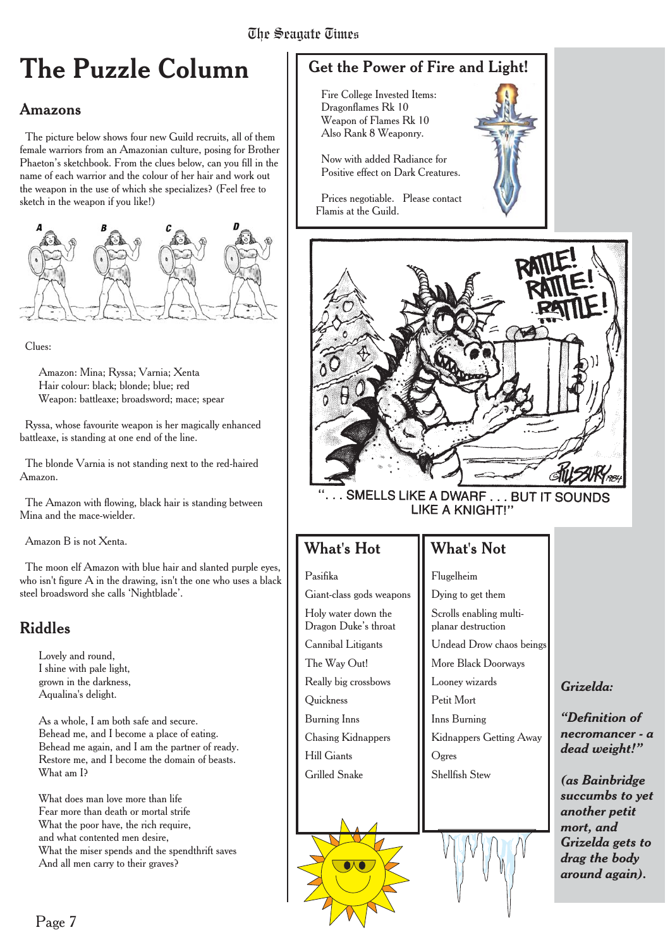# The Seagate Times Times

# **The Puzzle Column**

## Amazons

The picture below shows four new Guild recruits, all of them female warriors from an Amazonian culture, posing for Brother Phaeton's sketchbook. From the clues below, can you fill in the name of each warrior and the colour of her hair and work out the weapon in the use of which she specializes? (Feel free to sketch in the weapon if you like!)



Clues:

Amazon: Mina; Ryssa; Varnia; Xenta Hair colour: black; blonde; blue; red Weapon: battleaxe; broadsword; mace; spear

Ryssa, whose favourite weapon is her magically enhanced battleaxe, is standing at one end of the line.

The blonde Varnia is not standing next to the red-haired Amazon.

The Amazon with flowing, black hair is standing between Mina and the mace-wielder.

Amazon B is not Xenta.

The moon elf Amazon with blue hair and slanted purple eyes, who isn't figure A in the drawing, isn't the one who uses a black steel broadsword she calls 'Nightblade'.

## Riddles

Lovely and round, I shine with pale light, grown in the darkness, Aqualina's delight.

As a whole, I am both safe and secure. Behead me, and I become a place of eating. Behead me again, and I am the partner of ready. Restore me, and I become the domain of beasts. What am I?

What does man love more than life Fear more than death or mortal strife What the poor have, the rich require, and what contented men desire, What the miser spends and the spendthrift saves And all men carry to their graves?

## Get the Power of Fire and Light!

Fire College Invested Items: Dragonflames Rk 10 Weapon of Flames Rk 10 Also Rank 8 Weaponry.

Now with added Radiance for Positive effect on Dark Creatures.

Prices negotiable. Please contact Flamis at the Guild.



SMELLS LIKE A DWARF . . . BUT IT SOUNDS **LIKE A KNIGHT!"** 

What's Not

## What's Hot

#### Pasifika

Giant-class gods weapons Holy water down the Dragon Duke's throat Cannibal Litigants The Way Out! Really big crossbows **Ouickness** Burning Inns Chasing Kidnappers Hill Giants Grilled Snake

## Flugelheim Dying to get them Scrolls enabling multiplanar destruction Undead Drow chaos beings More Black Doorways Looney wizards Petit Mort Inns Burning Kidnappers Getting Away Ogres Shellfish Stew

### *Grizelda:*

*"Definition of necromancer - a dead weight!"*

*(as Bainbridge succumbs to yet another petit mort, and Grizelda gets to drag the body around again).*